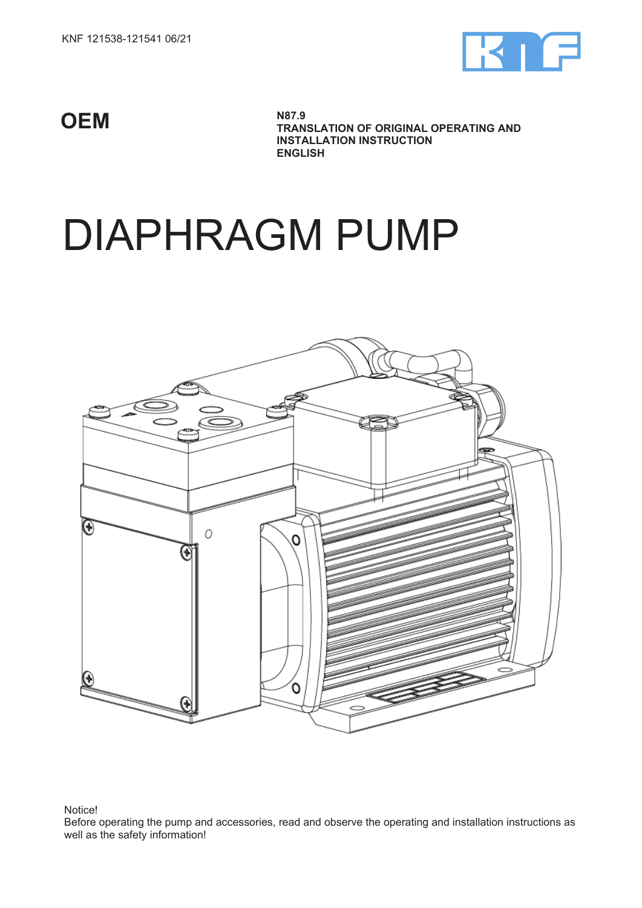

**OEM**

**N87.9 TRANSLATION OF ORIGINAL OPERATING AND INSTALLATION INSTRUCTION ENGLISH**

# DIAPHRAGM PUMP



## Notice!

Before operating the pump and accessories, read and observe the operating and installation instructions as well as the safety information!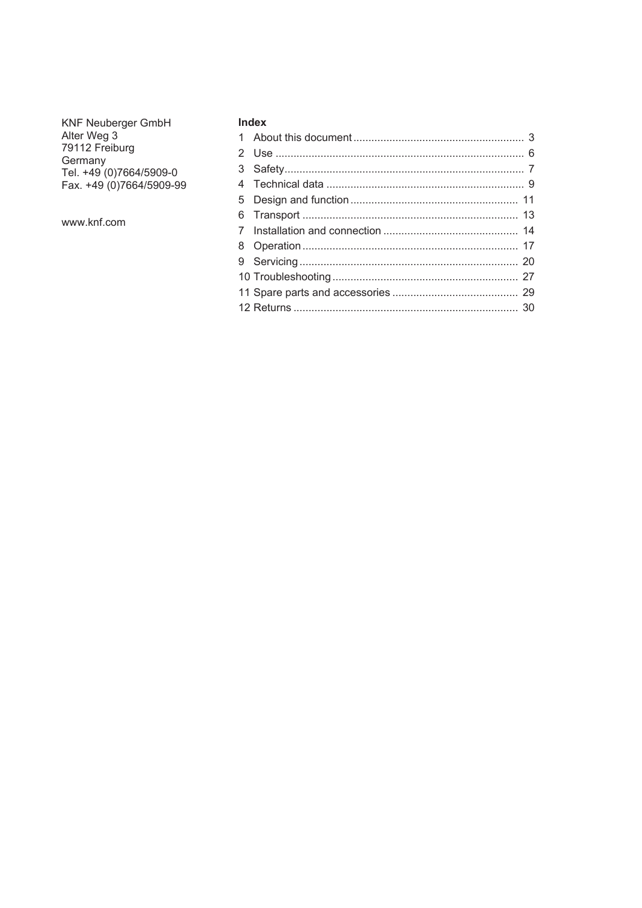**KNF Neuberger GmbH** KNF Neuberger GmbH<br>Alter Weg 3<br>79112 Freiburg<br>Germany<br>Tel. +49 (0)7664/5909-0<br>Fax. +49 (0)7664/5909-99

www.knf.com

# **Index**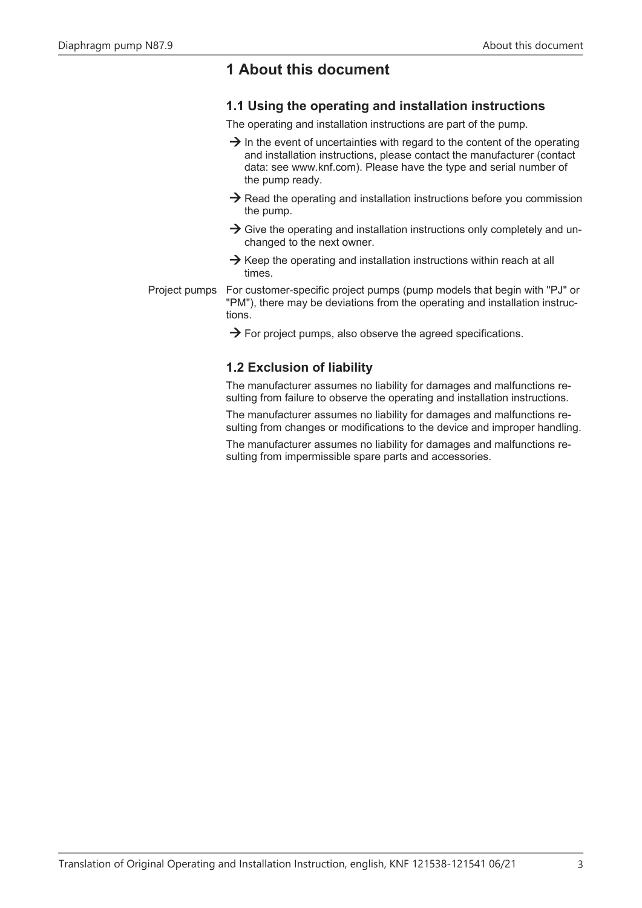# <span id="page-2-0"></span>**1 About this document**

# **1.1 Using the operating and installation instructions**

The operating and installation instructions are part of the pump.

- $\rightarrow$  In the event of uncertainties with regard to the content of the operating and installation instructions, please contact the manufacturer (contact data: see [www.knf.com](http://www.knf.com)). Please have the type and serial number of the pump ready.
- $\rightarrow$  Read the operating and installation instructions before you commission the pump.
- $\rightarrow$  Give the operating and installation instructions only completely and unchanged to the next owner.
- $\rightarrow$  Keep the operating and installation instructions within reach at all times.

Project pumps For customer-specific project pumps (pump models that begin with "PJ" or "PM"), there may be deviations from the operating and installation instructions.

 $\rightarrow$  For project pumps, also observe the agreed specifications.

# **1.2 Exclusion of liability**

The manufacturer assumes no liability for damages and malfunctions resulting from failure to observe the operating and installation instructions.

The manufacturer assumes no liability for damages and malfunctions resulting from changes or modifications to the device and improper handling.

The manufacturer assumes no liability for damages and malfunctions resulting from impermissible spare parts and accessories.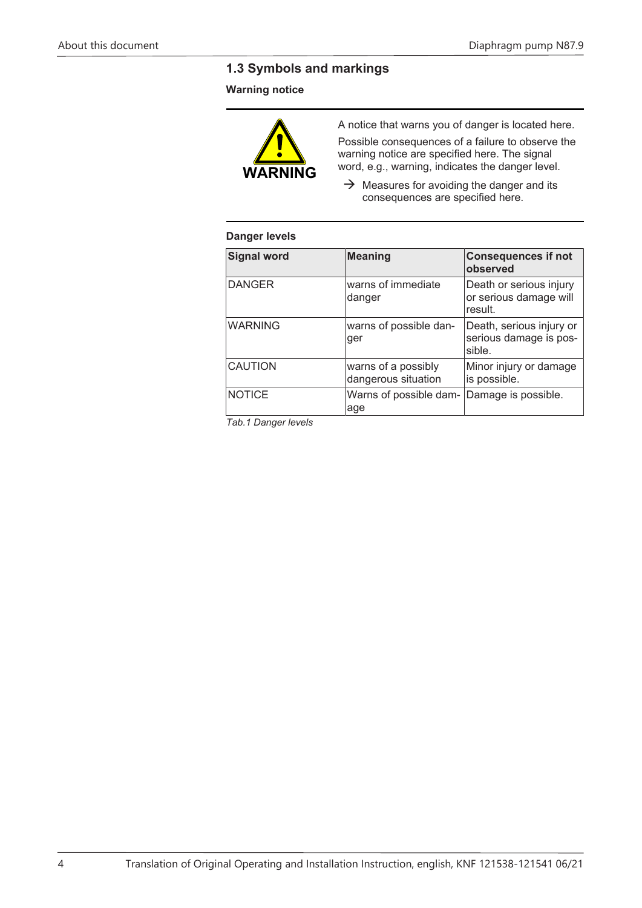# **1.3 Symbols and markings**

# **Warning notice**



A notice that warns you of danger is located here.

Possible consequences of a failure to observe the warning notice are specified here. The signal word, e.g., warning, indicates the danger level.

 $\rightarrow$  Measures for avoiding the danger and its consequences are specified here.

# **Danger levels**

| <b>Signal word</b> | <b>Meaning</b>                             | <b>Consequences if not</b><br>observed                       |
|--------------------|--------------------------------------------|--------------------------------------------------------------|
| <b>DANGER</b>      | warns of immediate<br>danger               | Death or serious injury<br>or serious damage will<br>result. |
| <b>WARNING</b>     | warns of possible dan-<br>ger              | Death, serious injury or<br>serious damage is pos-<br>sible. |
| <b>CAUTION</b>     | warns of a possibly<br>dangerous situation | Minor injury or damage<br>is possible.                       |
| <b>NOTICE</b>      | Warns of possible dam-<br>age              | Damage is possible.                                          |

*Tab.1 Danger levels*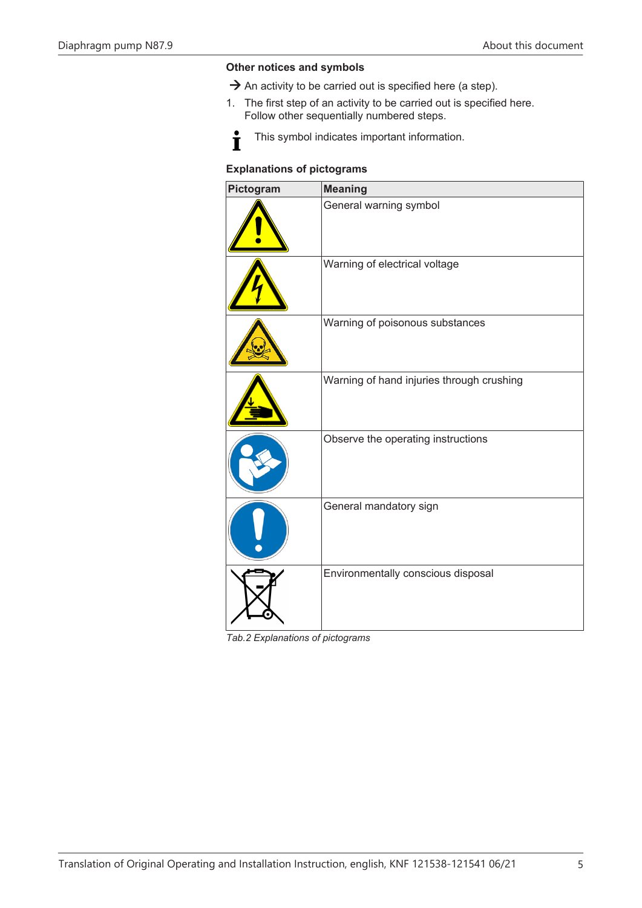#### **Other notices and symbols**

- $\rightarrow$  An activity to be carried out is specified here (a step).
- 1. The first step of an activity to be carried out is specified here. Follow other sequentially numbered steps.



This symbol indicates important information.

# **Explanations of pictograms**

| Pictogram | <b>Meaning</b>                            |
|-----------|-------------------------------------------|
|           | General warning symbol                    |
|           | Warning of electrical voltage             |
|           | Warning of poisonous substances           |
|           | Warning of hand injuries through crushing |
|           | Observe the operating instructions        |
|           | General mandatory sign                    |
|           | Environmentally conscious disposal        |

*Tab.2 Explanations of pictograms*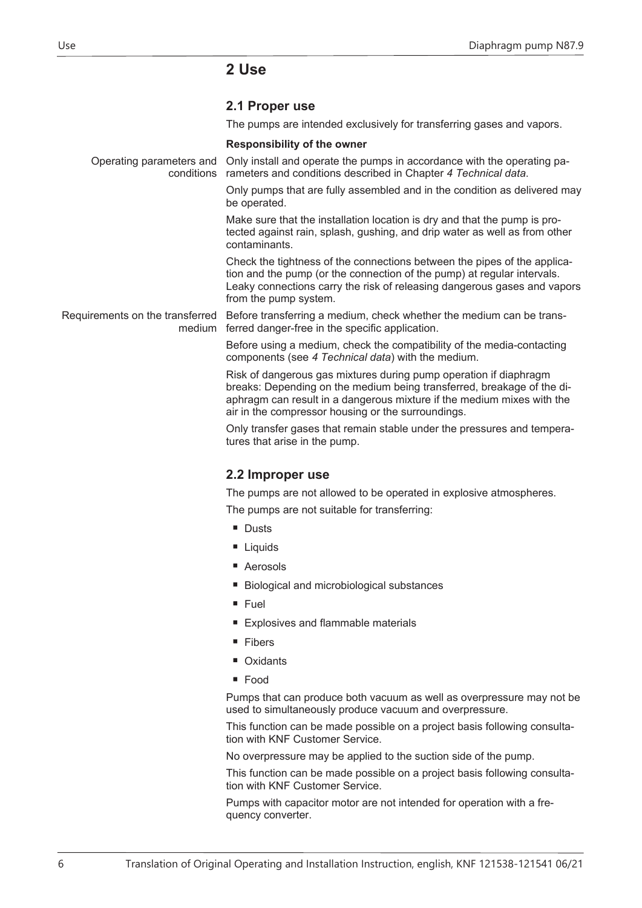# <span id="page-5-0"></span>**2 Use**

<span id="page-5-1"></span>

The pumps are intended exclusively for transferring gases and vapors.

#### **Responsibility of the owner**

Operating parameters and Only install and operate the pumps in accordance with the operating paconditions rameters and conditions described in Chapter *[4 Technical data](#page-8-0)*. Only pumps that are fully assembled and in the condition as delivered may be operated. Make sure that the installation location is dry and that the pump is protected against rain, splash, gushing, and drip water as well as from other contaminants. Check the tightness of the connections between the pipes of the application and the pump (or the connection of the pump) at regular intervals. Leaky connections carry the risk of releasing dangerous gases and vapors from the pump system. Requirements on the transferred Before transferring a medium, check whether the medium can be transmedium ferred danger-free in the specific application. Before using a medium, check the compatibility of the media-contacting components (see *[4 Technical data](#page-8-0)*) with the medium. Risk of dangerous gas mixtures during pump operation if diaphragm

breaks: Depending on the medium being transferred, breakage of the diaphragm can result in a dangerous mixture if the medium mixes with the air in the compressor housing or the surroundings.

Only transfer gases that remain stable under the pressures and temperatures that arise in the pump.

# <span id="page-5-2"></span>**2.2 Improper use**

The pumps are not allowed to be operated in explosive atmospheres.

The pumps are not suitable for transferring:

- Dusts
- Liquids
- Aerosols
- Biological and microbiological substances
- Fuel
- Explosives and flammable materials
- Fibers
- Oxidants
- Food

Pumps that can produce both vacuum as well as overpressure may not be used to simultaneously produce vacuum and overpressure.

This function can be made possible on a project basis following consultation with KNF Customer Service.

No overpressure may be applied to the suction side of the pump.

This function can be made possible on a project basis following consultation with KNF Customer Service.

Pumps with capacitor motor are not intended for operation with a frequency converter.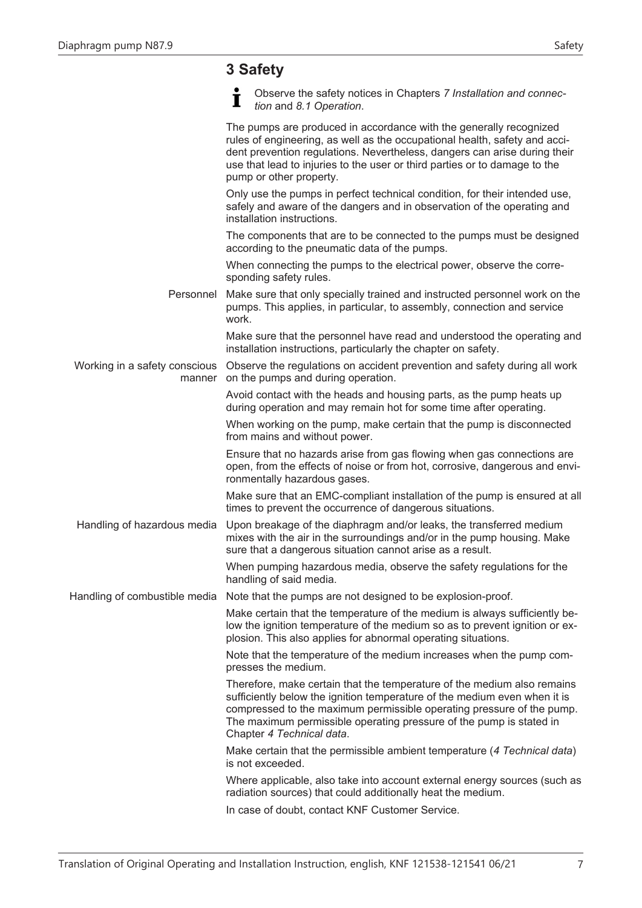# <span id="page-6-0"></span>**3 Safety**

|                               | Observe the safety notices in Chapters 7 Installation and connec-<br>I<br>tion and 8.1 Operation.                                                                                                                                                                                                                                      |
|-------------------------------|----------------------------------------------------------------------------------------------------------------------------------------------------------------------------------------------------------------------------------------------------------------------------------------------------------------------------------------|
|                               | The pumps are produced in accordance with the generally recognized<br>rules of engineering, as well as the occupational health, safety and acci-<br>dent prevention regulations. Nevertheless, dangers can arise during their<br>use that lead to injuries to the user or third parties or to damage to the<br>pump or other property. |
|                               | Only use the pumps in perfect technical condition, for their intended use,<br>safely and aware of the dangers and in observation of the operating and<br>installation instructions.                                                                                                                                                    |
|                               | The components that are to be connected to the pumps must be designed<br>according to the pneumatic data of the pumps.                                                                                                                                                                                                                 |
|                               | When connecting the pumps to the electrical power, observe the corre-<br>sponding safety rules.                                                                                                                                                                                                                                        |
| Personnel                     | Make sure that only specially trained and instructed personnel work on the<br>pumps. This applies, in particular, to assembly, connection and service<br>work.                                                                                                                                                                         |
|                               | Make sure that the personnel have read and understood the operating and<br>installation instructions, particularly the chapter on safety.                                                                                                                                                                                              |
| manner                        | Working in a safety conscious  Observe the regulations on accident prevention and safety during all work<br>on the pumps and during operation.                                                                                                                                                                                         |
|                               | Avoid contact with the heads and housing parts, as the pump heats up<br>during operation and may remain hot for some time after operating.                                                                                                                                                                                             |
|                               | When working on the pump, make certain that the pump is disconnected<br>from mains and without power.                                                                                                                                                                                                                                  |
|                               | Ensure that no hazards arise from gas flowing when gas connections are<br>open, from the effects of noise or from hot, corrosive, dangerous and envi-<br>ronmentally hazardous gases.                                                                                                                                                  |
|                               | Make sure that an EMC-compliant installation of the pump is ensured at all<br>times to prevent the occurrence of dangerous situations.                                                                                                                                                                                                 |
| Handling of hazardous media   | Upon breakage of the diaphragm and/or leaks, the transferred medium<br>mixes with the air in the surroundings and/or in the pump housing. Make<br>sure that a dangerous situation cannot arise as a result.                                                                                                                            |
|                               | When pumping hazardous media, observe the safety regulations for the<br>handling of said media.                                                                                                                                                                                                                                        |
| Handling of combustible media | Note that the pumps are not designed to be explosion-proof.                                                                                                                                                                                                                                                                            |
|                               | Make certain that the temperature of the medium is always sufficiently be-<br>low the ignition temperature of the medium so as to prevent ignition or ex-<br>plosion. This also applies for abnormal operating situations.                                                                                                             |
|                               | Note that the temperature of the medium increases when the pump com-<br>presses the medium.                                                                                                                                                                                                                                            |
|                               | Therefore, make certain that the temperature of the medium also remains<br>sufficiently below the ignition temperature of the medium even when it is<br>compressed to the maximum permissible operating pressure of the pump.<br>The maximum permissible operating pressure of the pump is stated in<br>Chapter 4 Technical data.      |
|                               | Make certain that the permissible ambient temperature (4 Technical data)<br>is not exceeded.                                                                                                                                                                                                                                           |
|                               | Where applicable, also take into account external energy sources (such as<br>radiation sources) that could additionally heat the medium.                                                                                                                                                                                               |
|                               | In case of doubt, contact KNF Customer Service.                                                                                                                                                                                                                                                                                        |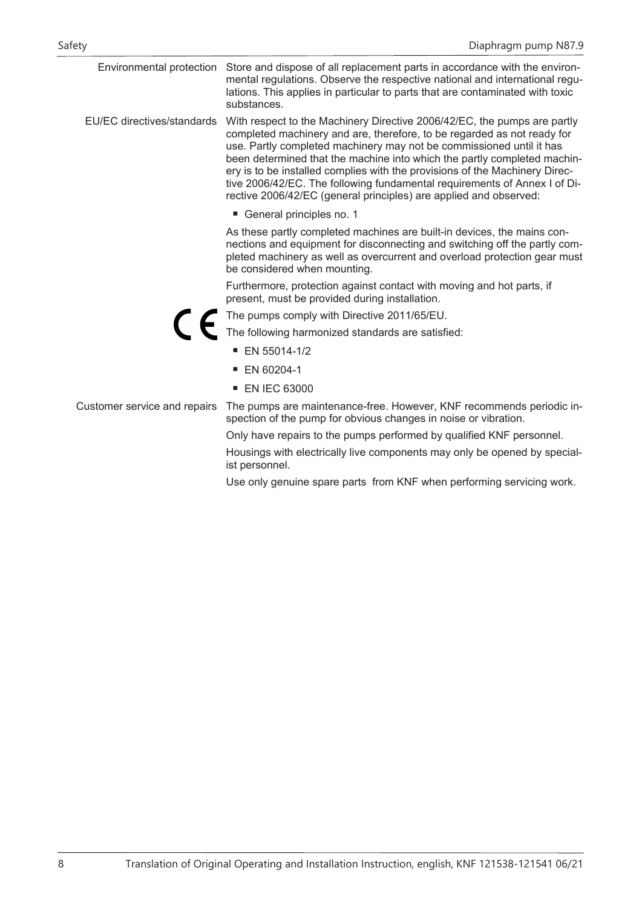|                              | Environmental protection Store and dispose of all replacement parts in accordance with the environ-<br>mental regulations. Observe the respective national and international regu-<br>lations. This applies in particular to parts that are contaminated with toxic<br>substances.                                                                                                                                                                                                                                                       |
|------------------------------|------------------------------------------------------------------------------------------------------------------------------------------------------------------------------------------------------------------------------------------------------------------------------------------------------------------------------------------------------------------------------------------------------------------------------------------------------------------------------------------------------------------------------------------|
| EU/EC directives/standards   | With respect to the Machinery Directive 2006/42/EC, the pumps are partly<br>completed machinery and are, therefore, to be regarded as not ready for<br>use. Partly completed machinery may not be commissioned until it has<br>been determined that the machine into which the partly completed machin-<br>ery is to be installed complies with the provisions of the Machinery Direc-<br>tive 2006/42/EC. The following fundamental requirements of Annex I of Di-<br>rective 2006/42/EC (general principles) are applied and observed: |
|                              | General principles no. 1                                                                                                                                                                                                                                                                                                                                                                                                                                                                                                                 |
|                              | As these partly completed machines are built-in devices, the mains con-<br>nections and equipment for disconnecting and switching off the partly com-<br>pleted machinery as well as overcurrent and overload protection gear must<br>be considered when mounting.                                                                                                                                                                                                                                                                       |
|                              | Furthermore, protection against contact with moving and hot parts, if<br>present, must be provided during installation.                                                                                                                                                                                                                                                                                                                                                                                                                  |
|                              | The pumps comply with Directive 2011/65/EU.                                                                                                                                                                                                                                                                                                                                                                                                                                                                                              |
|                              | The following harmonized standards are satisfied:                                                                                                                                                                                                                                                                                                                                                                                                                                                                                        |
|                              | $\blacksquare$ EN 55014-1/2                                                                                                                                                                                                                                                                                                                                                                                                                                                                                                              |
|                              | ■ EN 60204-1                                                                                                                                                                                                                                                                                                                                                                                                                                                                                                                             |
|                              | <b>EN IEC 63000</b>                                                                                                                                                                                                                                                                                                                                                                                                                                                                                                                      |
| Customer service and repairs | The pumps are maintenance-free. However, KNF recommends periodic in-<br>spection of the pump for obvious changes in noise or vibration.                                                                                                                                                                                                                                                                                                                                                                                                  |
|                              | Only have repairs to the pumps performed by qualified KNF personnel.                                                                                                                                                                                                                                                                                                                                                                                                                                                                     |
|                              | Housings with electrically live components may only be opened by special-<br>ist personnel.                                                                                                                                                                                                                                                                                                                                                                                                                                              |
|                              | Use only genuine spare parts from KNF when performing servicing work.                                                                                                                                                                                                                                                                                                                                                                                                                                                                    |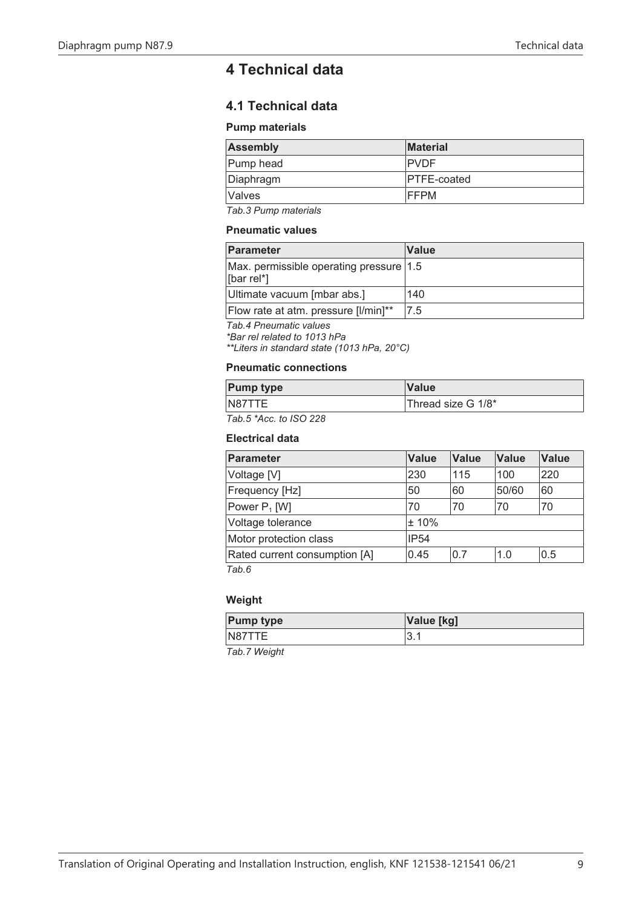# <span id="page-8-0"></span>**4 Technical data**

# **4.1 Technical data**

#### **Pump materials**

| <b>Assembly</b>  | <b>Material</b>     |
|------------------|---------------------|
| <b>Pump head</b> | <b>IPVDF</b>        |
| Diaphragm        | <b>IPTFE-coated</b> |
| <i>Nalves</i>    | <b>IFFPM</b>        |

*Tab.3 Pump materials*

#### **Pneumatic values**

| Parameter                                               | <b>Value</b> |
|---------------------------------------------------------|--------------|
| Max. permissible operating pressure   1.5<br>[bar rel*] |              |
| Ultimate vacuum [mbar abs.]                             | 140          |
| Flow rate at atm. pressure [I/min]**                    | 7.5          |

*Tab.4 Pneumatic values*

*\*Bar rel related to 1013 hPa*

*\*\*Liters in standard state (1013 hPa, 20°C)*

# **Pneumatic connections**

| <b>Pump type</b>                                                                                                                                                                                                                                                                                                                             | <b>Value</b>       |
|----------------------------------------------------------------------------------------------------------------------------------------------------------------------------------------------------------------------------------------------------------------------------------------------------------------------------------------------|--------------------|
| N87TTE                                                                                                                                                                                                                                                                                                                                       | Thread size G 1/8* |
| $\tau$ , $\tau$ , $\tau$ , $\tau$ , $\tau$ , $\tau$ , $\tau$ , $\tau$ , $\tau$ , $\tau$ , $\tau$ , $\tau$ , $\tau$ , $\tau$ , $\tau$ , $\tau$ , $\tau$ , $\tau$ , $\tau$ , $\tau$ , $\tau$ , $\tau$ , $\tau$ , $\tau$ , $\tau$ , $\tau$ , $\tau$ , $\tau$ , $\tau$ , $\tau$ , $\tau$ , $\tau$ , $\tau$ , $\tau$ , $\tau$ , $\tau$ , $\tau$ , |                    |

*Tab.5 \*Acc. to ISO 228*

#### **Electrical data**

| Parameter                     | <b>Value</b> | <b>Value</b> | <b>Value</b> | <b>Value</b> |
|-------------------------------|--------------|--------------|--------------|--------------|
| Voltage [V]                   | 230          | 115          | 100          | 220          |
| Frequency [Hz]                | 50           | 60           | 50/60        | 60           |
| Power P <sub>1</sub> [W]      | 70           | 70           | 70           | 70           |
| Voltage tolerance             | $\pm$ 10%    |              |              |              |
| Motor protection class        | <b>IP54</b>  |              |              |              |
| Rated current consumption [A] | 0.45         | 0.7          | 1.0          | 0.5          |
| Tab.6                         |              |              |              |              |

# **Weight**

| <b>Pump type</b> | Value [kg]      |
|------------------|-----------------|
| N87TTE           | ◠<br><b>. ن</b> |

*Tab.7 Weight*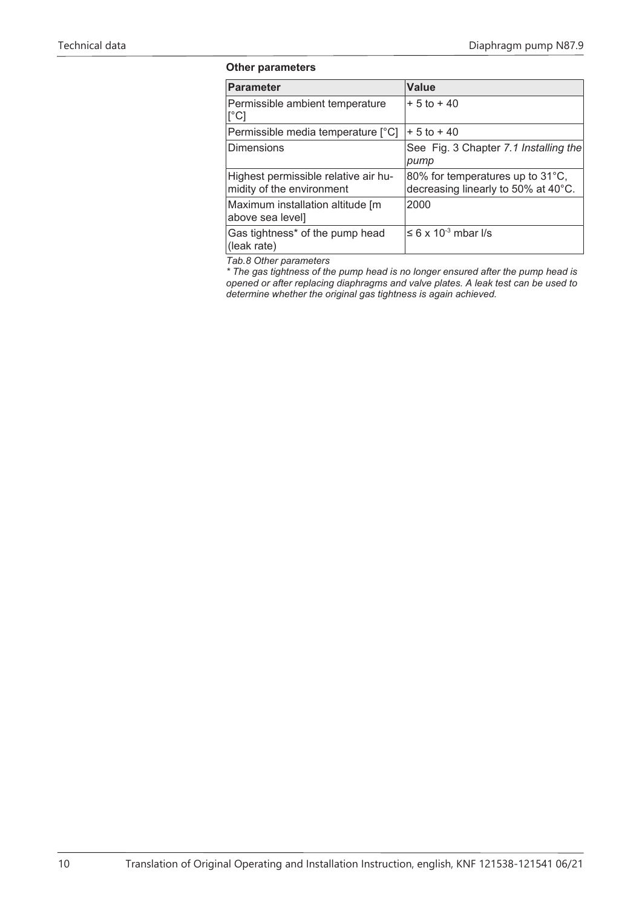#### **Other parameters**

| <b>Parameter</b>                                                  | <b>Value</b>                                                            |
|-------------------------------------------------------------------|-------------------------------------------------------------------------|
| Permissible ambient temperature<br>$\lceil$ °C]                   | $+5$ to $+40$                                                           |
| Permissible media temperature [°C]                                | $+5$ to $+40$                                                           |
| <b>Dimensions</b>                                                 | See Fig. 3 Chapter 7.1 Installing the<br>pump                           |
| Highest permissible relative air hu-<br>midity of the environment | 80% for temperatures up to 31°C,<br>decreasing linearly to 50% at 40°C. |
| Maximum installation altitude [m<br>above sea level]              | 2000                                                                    |
| Gas tightness* of the pump head<br>(leak rate)                    | $\leq 6 \times 10^{-3}$ mbar I/s                                        |

*Tab.8 Other parameters*

*\* The gas tightness of the pump head is no longer ensured after the pump head is opened or after replacing diaphragms and valve plates. A leak test can be used to determine whether the original gas tightness is again achieved.*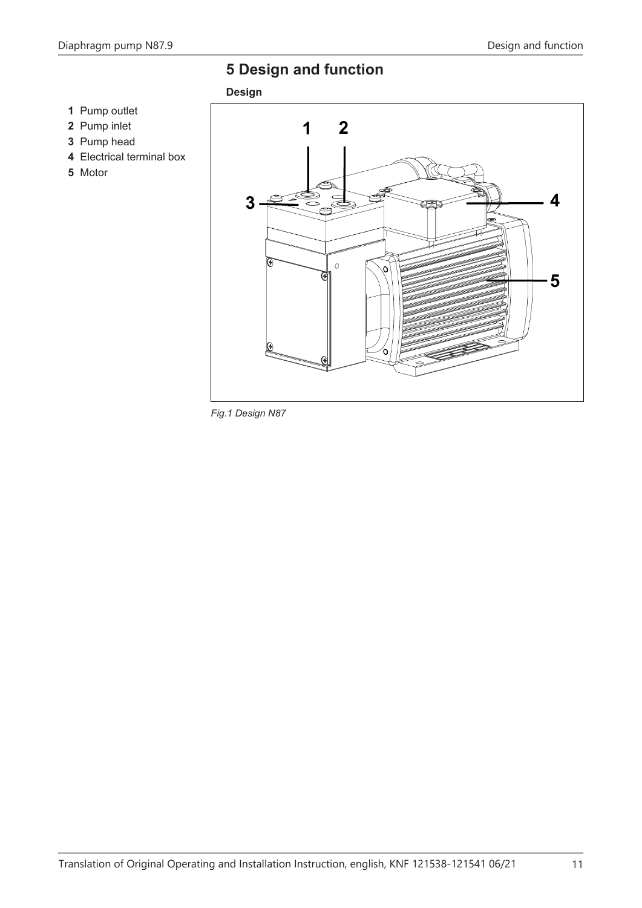# <span id="page-10-0"></span>**5 Design and function**



- Pump inlet
- Pump head
- Electrical terminal box
- Motor



*Fig.1 Design N87*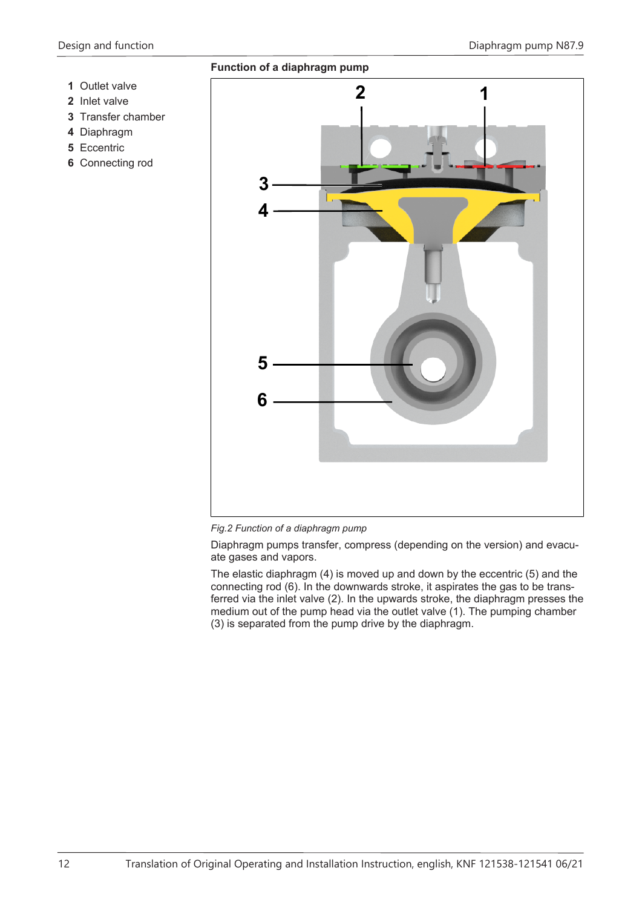- **1** Outlet valve
- **2** Inlet valve
- **3** Transfer chamber
- **4** Diaphragm
- **5** Eccentric
- **6** Connecting rod



*Fig.2 Function of a diaphragm pump*

Diaphragm pumps transfer, compress (depending on the version) and evacuate gases and vapors.

The elastic diaphragm (4) is moved up and down by the eccentric (5) and the connecting rod (6). In the downwards stroke, it aspirates the gas to be transferred via the inlet valve (2). In the upwards stroke, the diaphragm presses the medium out of the pump head via the outlet valve (1). The pumping chamber (3) is separated from the pump drive by the diaphragm.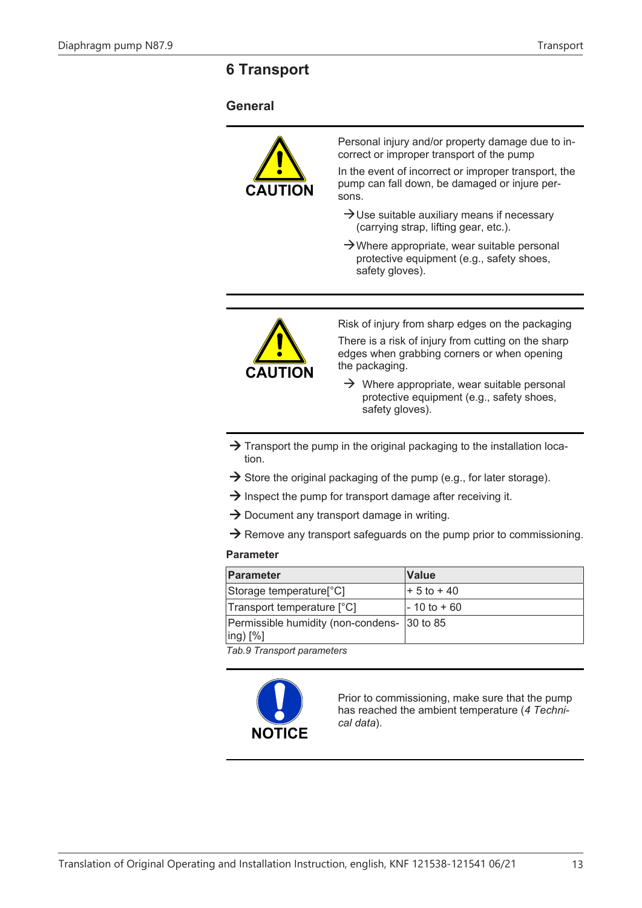# <span id="page-12-0"></span>**6 Transport**

# **General**



Personal injury and/or property damage due to incorrect or improper transport of the pump

In the event of incorrect or improper transport, the pump can fall down, be damaged or injure persons.

- $\rightarrow$ Use suitable auxiliary means if necessary (carrying strap, lifting gear, etc.).
- $\rightarrow$ Where appropriate, wear suitable personal protective equipment (e.g., safety shoes, safety gloves).



Risk of injury from sharp edges on the packaging There is a risk of injury from cutting on the sharp edges when grabbing corners or when opening the packaging.

- $\rightarrow$  Where appropriate, wear suitable personal protective equipment (e.g., safety shoes, safety gloves).
- $\rightarrow$  Transport the pump in the original packaging to the installation location.
- $\rightarrow$  Store the original packaging of the pump (e.g., for later storage).
- $\rightarrow$  Inspect the pump for transport damage after receiving it.
- $\rightarrow$  Document any transport damage in writing.
- $\rightarrow$  Remove any transport safeguards on the pump prior to commissioning.

#### **Parameter**

| Parameter                                                                     | <b>Value</b>    |
|-------------------------------------------------------------------------------|-----------------|
| Storage temperature <sup>[°</sup> C]                                          | $+ 5$ to $+ 40$ |
| Transport temperature [°C]                                                    | l- 10 to + 60   |
| Permissible humidity (non-condens- 30 to 85<br>$\lvert \text{ing} \rvert$ [%] |                 |

*Tab.9 Transport parameters*



Prior to commissioning, make sure that the pump has reached the ambient temperature (*[4 Techni](#page-8-0)[cal data](#page-8-0)*).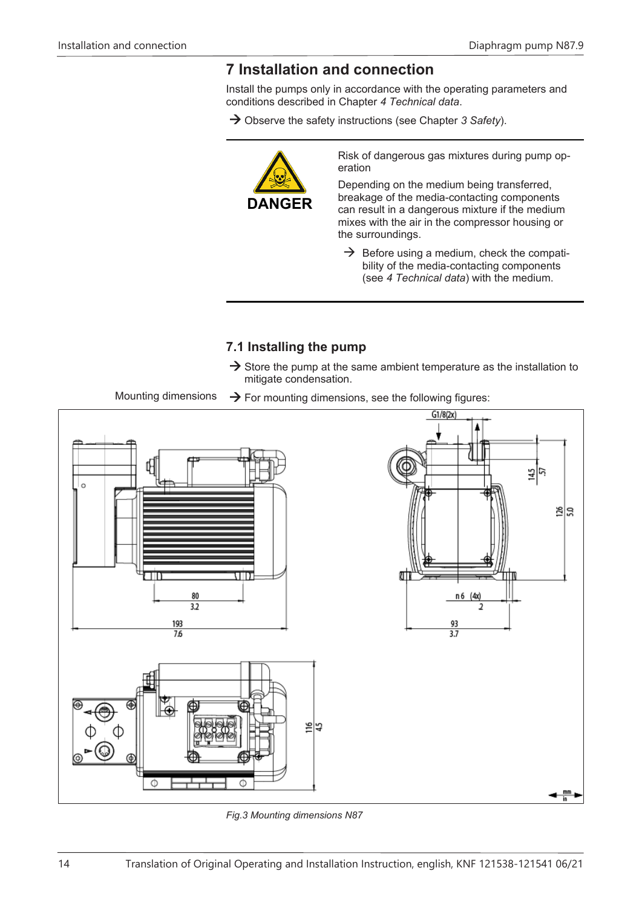# <span id="page-13-0"></span>**7 Installation and connection**

Install the pumps only in accordance with the operating parameters and conditions described in Chapter *[4 Technical data](#page-8-0)*.

→ Observe the safety instructions (see Chapter [3 Safety](#page-6-0)).



Risk of dangerous gas mixtures during pump operation

Depending on the medium being transferred, breakage of the media-contacting components can result in a dangerous mixture if the medium mixes with the air in the compressor housing or the surroundings.

 $\rightarrow$  Before using a medium, check the compatibility of the media-contacting components (see *[4 Technical data](#page-8-0)*) with the medium.

# <span id="page-13-1"></span>**7.1 Installing the pump**

 $\rightarrow$  Store the pump at the same ambient temperature as the installation to mitigate condensation.

Mounting dimensions  $\rightarrow$  For mounting dimensions, see the following figures:



*Fig.3 Mounting dimensions N87*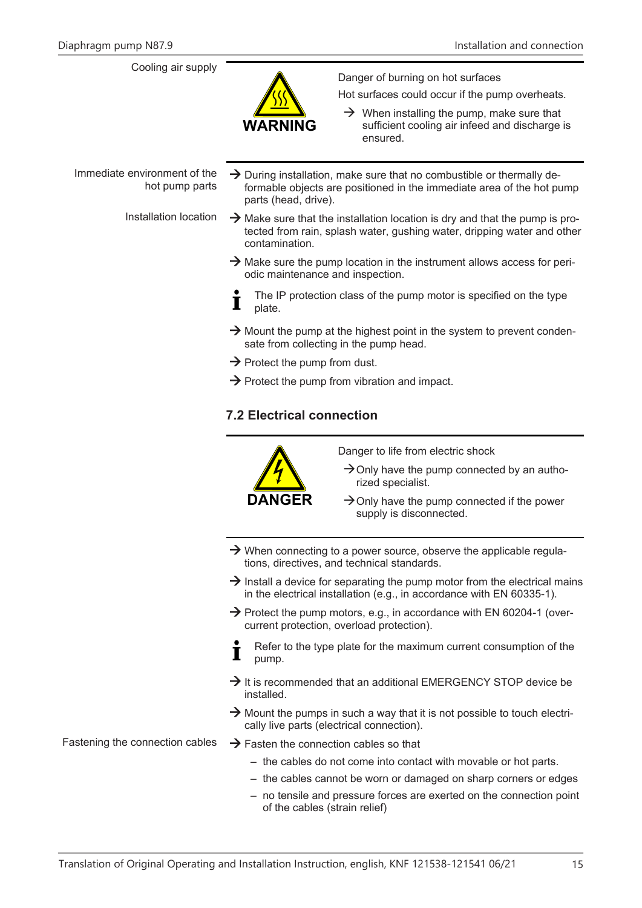# Cooling air supply



Danger of burning on hot surfaces

Hot surfaces could occur if the pump overheats.

 $\rightarrow$  When installing the pump, make sure that sufficient cooling air infeed and discharge is ensured.

Immediate environment of the hot pump parts

- $\rightarrow$  During installation, make sure that no combustible or thermally deformable objects are positioned in the immediate area of the hot pump parts (head, drive).
- Installation location  $\rightarrow$  Make sure that the installation location is dry and that the pump is protected from rain, splash water, gushing water, dripping water and other contamination.
	- $\rightarrow$  Make sure the pump location in the instrument allows access for periodic maintenance and inspection.
	- The IP protection class of the pump motor is specified on the type Т plate.
	- $\rightarrow$  Mount the pump at the highest point in the system to prevent condensate from collecting in the pump head.
	- $\rightarrow$  Protect the pump from dust.
	- $\rightarrow$  Protect the pump from vibration and impact.

# **7.2 Electrical connection**



- Danger to life from electric shock
- $\rightarrow$  Only have the pump connected by an authorized specialist.
- $\rightarrow$  Only have the pump connected if the power supply is disconnected.
- $\rightarrow$  When connecting to a power source, observe the applicable regulations, directives, and technical standards.
- $\rightarrow$  Install a device for separating the pump motor from the electrical mains in the electrical installation (e.g., in accordance with EN 60335-1).
- $\rightarrow$  Protect the pump motors, e.g., in accordance with EN 60204-1 (overcurrent protection, overload protection).
- Refer to the type plate for the maximum current consumption of the pump.
- $\rightarrow$  It is recommended that an additional EMERGENCY STOP device be installed.
- $\rightarrow$  Mount the pumps in such a way that it is not possible to touch electrically live parts (electrical connection).

- Fastening the connection cables  $\rightarrow$  Fasten the connection cables so that
	- the cables do not come into contact with movable or hot parts.
	- the cables cannot be worn or damaged on sharp corners or edges
	- no tensile and pressure forces are exerted on the connection point of the cables (strain relief)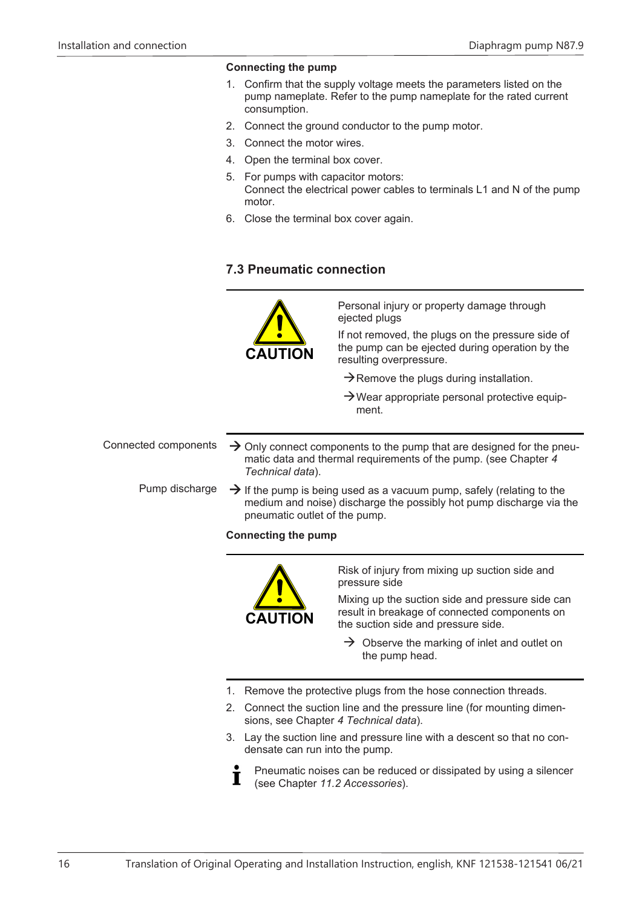### **Connecting the pump**

- 1. Confirm that the supply voltage meets the parameters listed on the pump nameplate. Refer to the pump nameplate for the rated current consumption.
- 2. Connect the ground conductor to the pump motor.
- 3. Connect the motor wires.
- 4. Open the terminal box cover.
- 5. For pumps with capacitor motors: Connect the electrical power cables to terminals L1 and N of the pump motor.
- 6. Close the terminal box cover again.

# **7.3 Pneumatic connection**



Personal injury or property damage through ejected plugs

If not removed, the plugs on the pressure side of the pump can be ejected during operation by the resulting overpressure.

- $\rightarrow$  Remove the plugs during installation.
- $\rightarrow$ Wear appropriate personal protective equipment.

Connected components  $\rightarrow$  Only connect components to the pump that are designed for the pneu-

matic data and thermal requirements of the pump. (see Chapter *[4](#page-8-0) [Technical data](#page-8-0)*).

Pump discharge  $\rightarrow$  If the pump is being used as a vacuum pump, safely (relating to the medium and noise) discharge the possibly hot pump discharge via the pneumatic outlet of the pump.

# **Connecting the pump**



I

Risk of injury from mixing up suction side and pressure side

Mixing up the suction side and pressure side can result in breakage of connected components on the suction side and pressure side.

- $\rightarrow$  Observe the marking of inlet and outlet on the pump head.
- 1. Remove the protective plugs from the hose connection threads.
- 2. Connect the suction line and the pressure line (for mounting dimensions, see Chapter *[4 Technical data](#page-8-0)*).
- 3. Lay the suction line and pressure line with a descent so that no condensate can run into the pump.
	- Pneumatic noises can be reduced or dissipated by using a silencer (see Chapter *[11.2 Accessories](#page-28-1)*).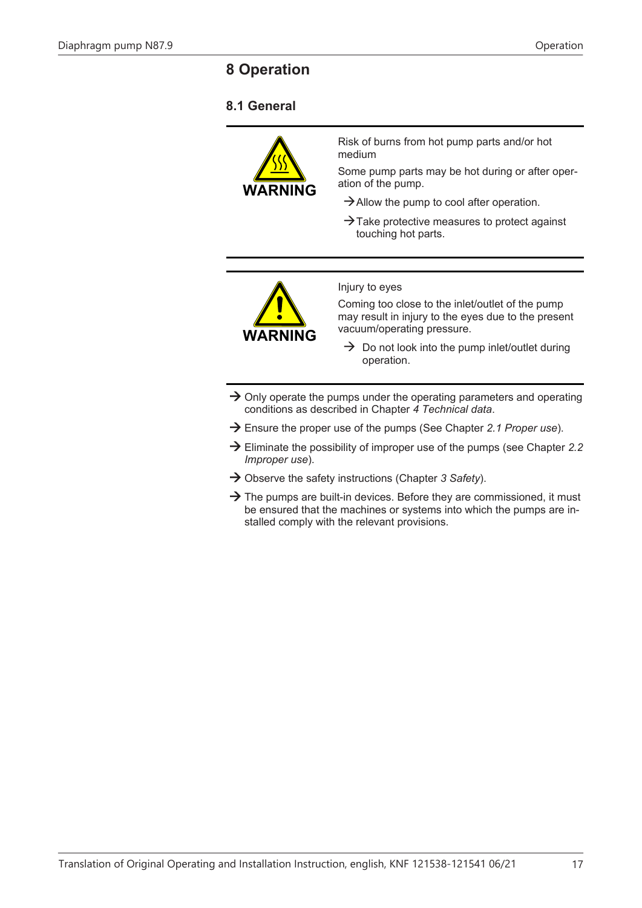# <span id="page-16-0"></span>**8 Operation**

# <span id="page-16-1"></span>**8.1 General**



Risk of burns from hot pump parts and/or hot medium

Some pump parts may be hot during or after operation of the pump.

- $\rightarrow$  Allow the pump to cool after operation.
- $\rightarrow$  Take protective measures to protect against touching hot parts.



Injury to eyes

Coming too close to the inlet/outlet of the pump may result in injury to the eyes due to the present vacuum/operating pressure.

- $\rightarrow$  Do not look into the pump inlet/outlet during operation.
- $\rightarrow$  Only operate the pumps under the operating parameters and operating conditions as described in Chapter *[4 Technical data](#page-8-0)*.
- à Ensure the proper use of the pumps (See Chapter *[2.1 Proper use](#page-5-1)*).
- à Eliminate the possibility of improper use of the pumps (see Chapter *[2.2](#page-5-2) [Improper use](#page-5-2)*).
- → Observe the safety instructions (Chapter [3 Safety](#page-6-0)).
- $\rightarrow$  The pumps are built-in devices. Before they are commissioned, it must be ensured that the machines or systems into which the pumps are installed comply with the relevant provisions.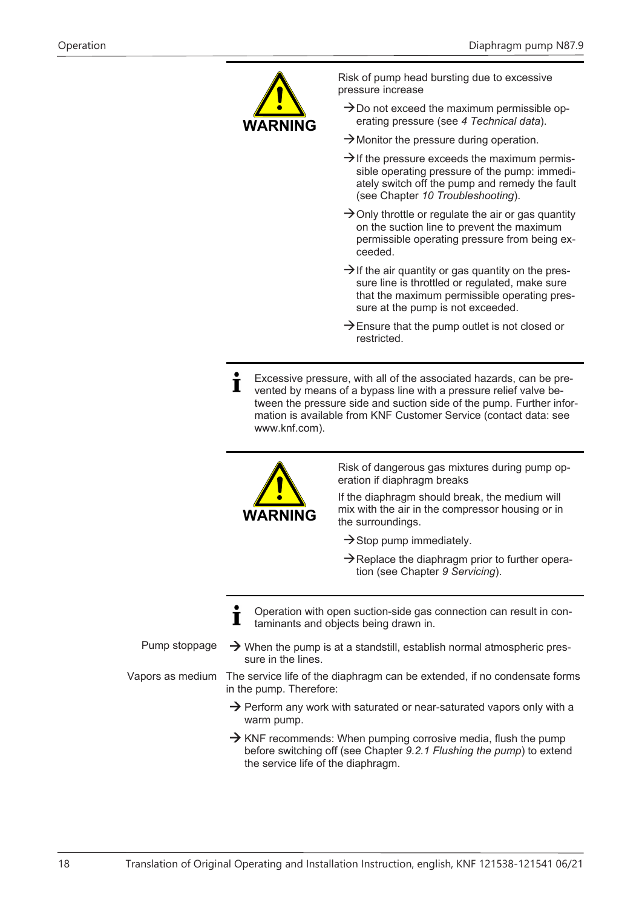

Risk of pump head bursting due to excessive pressure increase

- $\rightarrow$ Do not exceed the maximum permissible operating pressure (see *[4 Technical data](#page-8-0)*).
- $\rightarrow$  Monitor the pressure during operation.
- $\rightarrow$  If the pressure exceeds the maximum permissible operating pressure of the pump: immediately switch off the pump and remedy the fault (see Chapter *[10 Troubleshooting](#page-26-0)*).
- $\rightarrow$  Only throttle or regulate the air or gas quantity on the suction line to prevent the maximum permissible operating pressure from being exceeded.
- $\rightarrow$  If the air quantity or gas quantity on the pressure line is throttled or regulated, make sure that the maximum permissible operating pressure at the pump is not exceeded.
- $\rightarrow$  Ensure that the pump outlet is not closed or restricted.
- Excessive pressure, with all of the associated hazards, can be pre- $\blacksquare$ vented by means of a bypass line with a pressure relief valve between the pressure side and suction side of the pump. Further information is available from KNF Customer Service (contact data: see www.knf.com).



Risk of dangerous gas mixtures during pump operation if diaphragm breaks

If the diaphragm should break, the medium will mix with the air in the compressor housing or in the surroundings.

- $\rightarrow$  Stop pump immediately.
- $\rightarrow$  Replace the diaphragm prior to further operation (see Chapter *[9 Servicing](#page-19-0)*).
- Operation with open suction-side gas connection can result in contaminants and objects being drawn in.
- Pump stoppage  $\rightarrow$  When the pump is at a standstill, establish normal atmospheric pressure in the lines. Vapors as medium The service life of the diaphragm can be extended, if no condensate forms in the pump. Therefore:
	- $\rightarrow$  Perform any work with saturated or near-saturated vapors only with a warm pump.
	- $\rightarrow$  KNF recommends: When pumping corrosive media, flush the pump before switching off (see Chapter *[9.2.1 Flushing the pump](#page-19-1)*) to extend the service life of the diaphragm.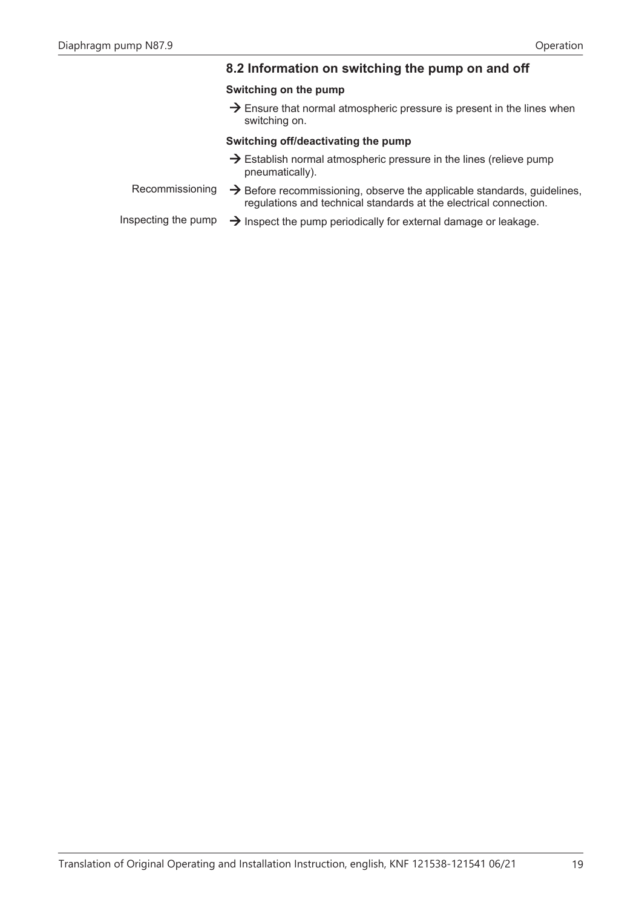# **8.2 Information on switching the pump on and off**

# **Switching on the pump**

 $\rightarrow$  Ensure that normal atmospheric pressure is present in the lines when switching on.

#### **Switching off/deactivating the pump**

- $\rightarrow$  Establish normal atmospheric pressure in the lines (relieve pump pneumatically).
- Recommissioning  $\rightarrow$  Before recommissioning, observe the applicable standards, guidelines, regulations and technical standards at the electrical connection.
- Inspecting the pump  $\rightarrow$  Inspect the pump periodically for external damage or leakage.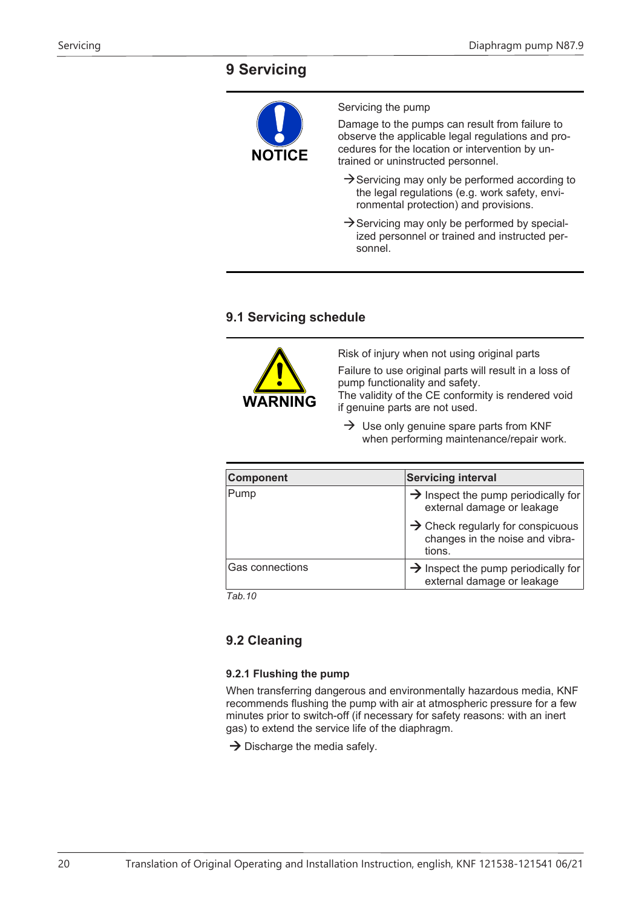# <span id="page-19-0"></span>**9 Servicing**



# **9.1 Servicing schedule**



Risk of injury when not using original parts

Failure to use original parts will result in a loss of pump functionality and safety.

The validity of the CE conformity is rendered void if genuine parts are not used.

 $\rightarrow$  Use only genuine spare parts from KNF when performing maintenance/repair work.

| Component              | <b>Servicing interval</b>                                                                  |
|------------------------|--------------------------------------------------------------------------------------------|
| Pump                   | $\rightarrow$ Inspect the pump periodically for<br>external damage or leakage              |
|                        | $\rightarrow$ Check regularly for conspicuous<br>changes in the noise and vibra-<br>tions. |
| <b>Gas connections</b> | $\rightarrow$ Inspect the pump periodically for<br>external damage or leakage              |

*Tab.10* 

# **9.2 Cleaning**

#### <span id="page-19-1"></span>**9.2.1 Flushing the pump**

When transferring dangerous and environmentally hazardous media, KNF recommends flushing the pump with air at atmospheric pressure for a few minutes prior to switch-off (if necessary for safety reasons: with an inert gas) to extend the service life of the diaphragm.

 $\rightarrow$  Discharge the media safely.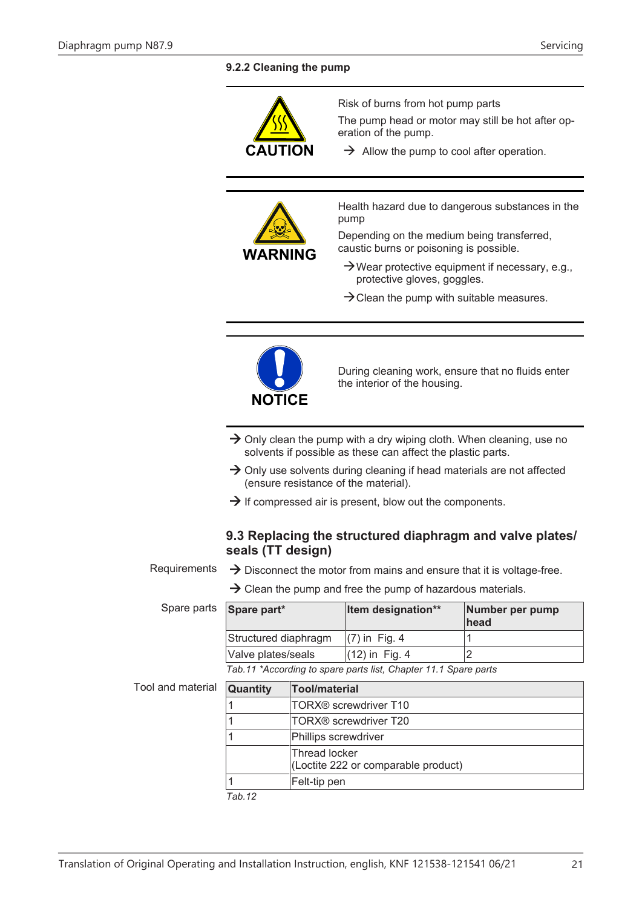# <span id="page-20-0"></span>**9.2.2 Cleaning the pump**

|                   | <b>CAUTION</b>                                                                                                                                                                                                                               |                      | Risk of burns from hot pump parts<br>The pump head or motor may still be hot after op-<br>eration of the pump.<br>$\rightarrow$ Allow the pump to cool after operation.                                                                                                                         |                         |  |
|-------------------|----------------------------------------------------------------------------------------------------------------------------------------------------------------------------------------------------------------------------------------------|----------------------|-------------------------------------------------------------------------------------------------------------------------------------------------------------------------------------------------------------------------------------------------------------------------------------------------|-------------------------|--|
|                   |                                                                                                                                                                                                                                              |                      |                                                                                                                                                                                                                                                                                                 |                         |  |
|                   | pump<br><b>WARNING</b>                                                                                                                                                                                                                       |                      | Health hazard due to dangerous substances in the<br>Depending on the medium being transferred,<br>caustic burns or poisoning is possible.<br>$\rightarrow$ Wear protective equipment if necessary, e.g.,<br>protective gloves, goggles.<br>$\rightarrow$ Clean the pump with suitable measures. |                         |  |
|                   | <b>NOTICE</b>                                                                                                                                                                                                                                |                      | During cleaning work, ensure that no fluids enter<br>the interior of the housing.                                                                                                                                                                                                               |                         |  |
|                   | $\rightarrow$ Only clean the pump with a dry wiping cloth. When cleaning, use no                                                                                                                                                             |                      |                                                                                                                                                                                                                                                                                                 |                         |  |
|                   | solvents if possible as these can affect the plastic parts.                                                                                                                                                                                  |                      |                                                                                                                                                                                                                                                                                                 |                         |  |
|                   | $\rightarrow$ Only use solvents during cleaning if head materials are not affected<br>(ensure resistance of the material).                                                                                                                   |                      |                                                                                                                                                                                                                                                                                                 |                         |  |
|                   | $\rightarrow$ If compressed air is present, blow out the components.                                                                                                                                                                         |                      |                                                                                                                                                                                                                                                                                                 |                         |  |
| Requirements      | 9.3 Replacing the structured diaphragm and valve plates/<br>seals (TT design)<br>$\rightarrow$ Disconnect the motor from mains and ensure that it is voltage-free.<br>$\rightarrow$ Clean the pump and free the pump of hazardous materials. |                      |                                                                                                                                                                                                                                                                                                 |                         |  |
| Spare parts       | Spare part*                                                                                                                                                                                                                                  |                      | Item designation**                                                                                                                                                                                                                                                                              | Number per pump<br>head |  |
|                   | Structured diaphragm                                                                                                                                                                                                                         |                      | $(7)$ in Fig. 4                                                                                                                                                                                                                                                                                 | 1                       |  |
|                   | Valve plates/seals                                                                                                                                                                                                                           |                      | (12) in Fig. 4                                                                                                                                                                                                                                                                                  | $\overline{2}$          |  |
|                   |                                                                                                                                                                                                                                              |                      | Tab.11 *According to spare parts list, Chapter 11.1 Spare parts                                                                                                                                                                                                                                 |                         |  |
| Tool and material | Quantity                                                                                                                                                                                                                                     | <b>Tool/material</b> |                                                                                                                                                                                                                                                                                                 |                         |  |
|                   | 1                                                                                                                                                                                                                                            |                      | TORX <sup>®</sup> screwdriver T10                                                                                                                                                                                                                                                               |                         |  |
|                   | 1                                                                                                                                                                                                                                            |                      | TORX <sup>®</sup> screwdriver T20                                                                                                                                                                                                                                                               |                         |  |
|                   | 1                                                                                                                                                                                                                                            | Phillips screwdriver |                                                                                                                                                                                                                                                                                                 |                         |  |
|                   |                                                                                                                                                                                                                                              | <b>Thread locker</b> | (Loctite 222 or comparable product)                                                                                                                                                                                                                                                             |                         |  |
|                   | 1<br>Felt-tip pen                                                                                                                                                                                                                            |                      |                                                                                                                                                                                                                                                                                                 |                         |  |

*Tab.12*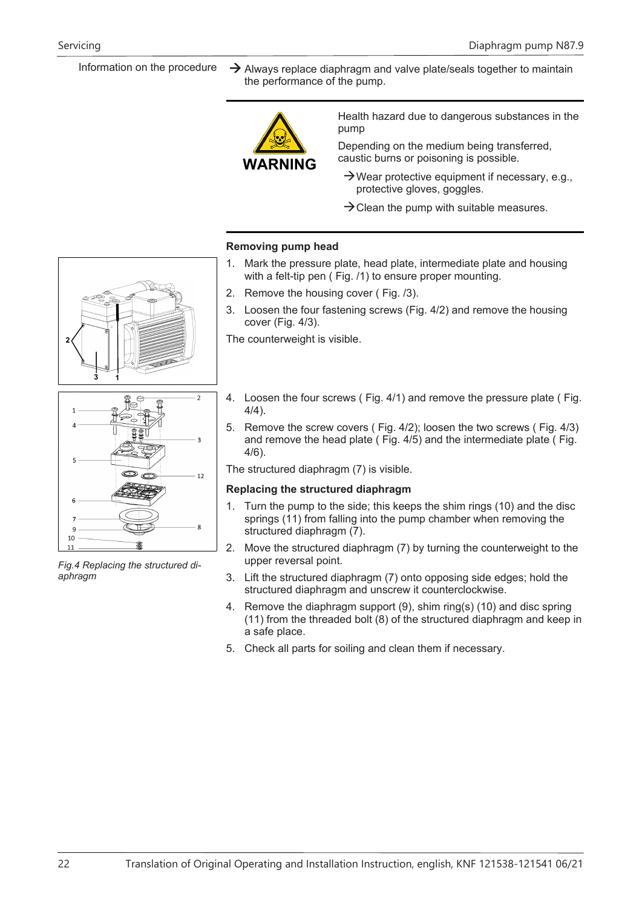Information on the procedure  $\rightarrow$  Always replace diaphragm and valve plate/seals together to maintain the performance of the pump.



Health hazard due to dangerous substances in the pump

Depending on the medium being transferred, caustic burns or poisoning is possible.

- $\rightarrow$ Wear protective equipment if necessary, e.g., protective gloves, goggles.
- $\rightarrow$  Clean the pump with suitable measures.

#### **Removing pump head**

- 1. Mark the pressure plate, head plate, intermediate plate and housing with a felt-tip pen ( Fig. /1) to ensure proper mounting.
- 2. Remove the housing cover ( Fig. /3).
- 3. Loosen the four fastening screws (Fig. 4/2) and remove the housing cover (Fig. 4/3).

The counterweight is visible.

- 4. Loosen the four screws ( Fig. 4/1) and remove the pressure plate ( Fig.  $4/4)$ .
- 5. Remove the screw covers ( Fig. 4/2); loosen the two screws ( Fig. 4/3) and remove the head plate ( Fig. 4/5) and the intermediate plate ( Fig. 4/6).

The structured diaphragm (7) is visible.

#### **Replacing the structured diaphragm**

- 1. Turn the pump to the side; this keeps the shim rings (10) and the disc springs (11) from falling into the pump chamber when removing the structured diaphragm (7).
- 2. Move the structured diaphragm (7) by turning the counterweight to the upper reversal point.
- 3. Lift the structured diaphragm (7) onto opposing side edges; hold the structured diaphragm and unscrew it counterclockwise.
- 4. Remove the diaphragm support (9), shim ring(s) (10) and disc spring (11) from the threaded bolt (8) of the structured diaphragm and keep in a safe place.
- 5. Check all parts for soiling and clean them if necessary.



*Fig.4 Replacing the structured diaphragm*

 $10$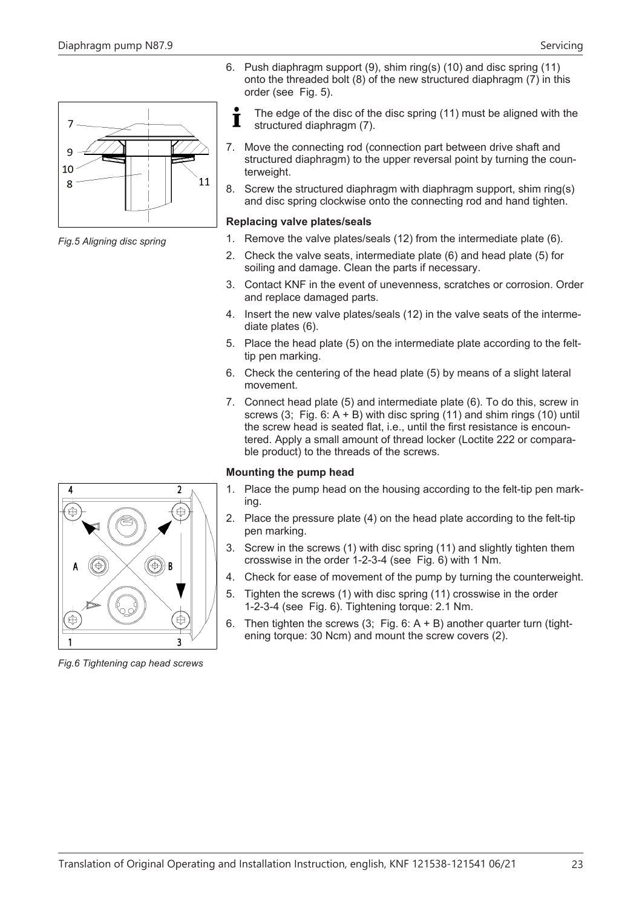$\overline{7}$ 

q 10 8

*Fig.5 Aligning disc spring*





The edge of the disc of the disc spring (11) must be aligned with the structured diaphragm (7).

- 7. Move the connecting rod (connection part between drive shaft and structured diaphragm) to the upper reversal point by turning the counterweight.
- 8. Screw the structured diaphragm with diaphragm support, shim ring(s) and disc spring clockwise onto the connecting rod and hand tighten.

#### **Replacing valve plates/seals**

- 1. Remove the valve plates/seals (12) from the intermediate plate (6).
- 2. Check the valve seats, intermediate plate (6) and head plate (5) for soiling and damage. Clean the parts if necessary.
- 3. Contact KNF in the event of unevenness, scratches or corrosion. Order and replace damaged parts.
- 4. Insert the new valve plates/seals (12) in the valve seats of the intermediate plates (6).
- 5. Place the head plate (5) on the intermediate plate according to the felttip pen marking.
- 6. Check the centering of the head plate (5) by means of a slight lateral movement.
- 7. Connect head plate (5) and intermediate plate (6). To do this, screw in screws  $(3;$  Fig. 6: A + B) with disc spring  $(11)$  and shim rings  $(10)$  until the screw head is seated flat, i.e., until the first resistance is encountered. Apply a small amount of thread locker (Loctite 222 or comparable product) to the threads of the screws.

# **Mounting the pump head**

- 1. Place the pump head on the housing according to the felt-tip pen marking.
- 2. Place the pressure plate (4) on the head plate according to the felt-tip pen marking.
- 3. Screw in the screws (1) with disc spring (11) and slightly tighten them crosswise in the order 1-2-3-4 (see Fig. 6) with 1 Nm.
- 4. Check for ease of movement of the pump by turning the counterweight.
- 5. Tighten the screws (1) with disc spring (11) crosswise in the order 1-2-3-4 (see Fig. 6). Tightening torque: 2.1 Nm.
- 6. Then tighten the screws  $(3,$  Fig. 6: A + B) another quarter turn (tightening torque: 30 Ncm) and mount the screw covers (2).



*Fig.6 Tightening cap head screws*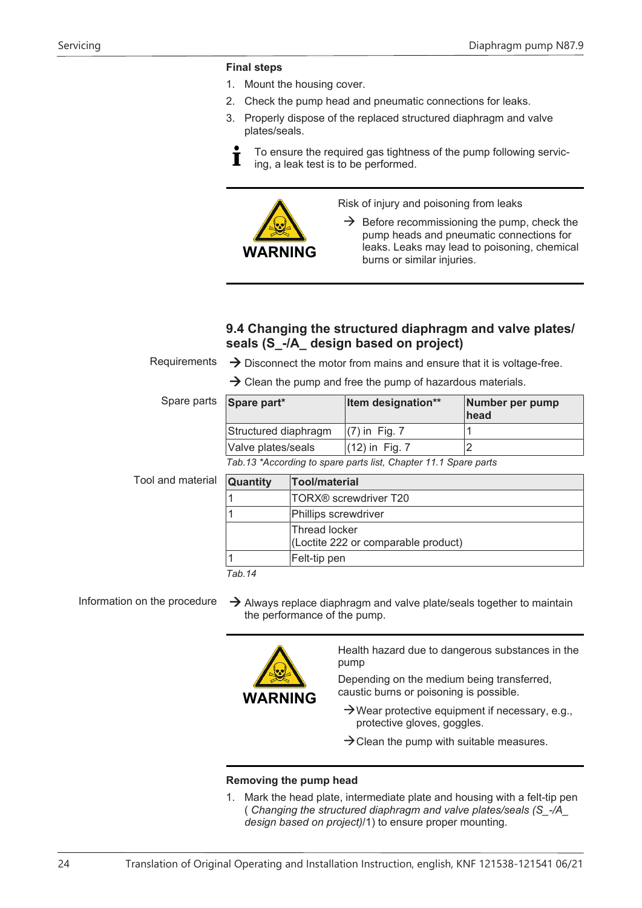# **Final steps**

- 1. Mount the housing cover.
- 2. Check the pump head and pneumatic connections for leaks.
- 3. Properly dispose of the replaced structured diaphragm and valve plates/seals.



To ensure the required gas tightness of the pump following servicing, a leak test is to be performed.



Risk of injury and poisoning from leaks

 $\rightarrow$  Before recommissioning the pump, check the pump heads and pneumatic connections for leaks. Leaks may lead to poisoning, chemical burns or similar injuries.

# **9.4 Changing the structured diaphragm and valve plates/ seals (S\_-/A\_ design based on project)**

Requirements  $\rightarrow$  Disconnect the motor from mains and ensure that it is voltage-free.

 $\rightarrow$  Clean the pump and free the pump of hazardous materials.

| Spare parts Spare part* | Item designation** | Number per pump<br>head |
|-------------------------|--------------------|-------------------------|
| Structured diaphragm    | $(7)$ in Fig. 7    |                         |
| Valve plates/seals      | $(12)$ in Fig. 7   |                         |
| __                      |                    |                         |

*Tab.13 \*According to spare parts list, Chapter [11.1 Spare parts](#page-28-2)*

Tool and material **Quantity Tool/material**

| <b>Quantity</b>    | <b>Tool/material</b>                                 |
|--------------------|------------------------------------------------------|
|                    | TORX <sup>®</sup> screwdriver T20                    |
|                    | Phillips screwdriver                                 |
|                    | Thread locker<br>(Loctite 222 or comparable product) |
|                    | Felt-tip pen                                         |
| T <sub>0</sub> h A |                                                      |

*Tab.14* 

Information on the procedure  $\rightarrow$  Always replace diaphragm and valve plate/seals together to maintain the performance of the pump.



Health hazard due to dangerous substances in the pump

Depending on the medium being transferred, caustic burns or poisoning is possible.

- $\rightarrow$ Wear protective equipment if necessary, e.g., protective gloves, goggles.
- $\rightarrow$  Clean the pump with suitable measures.

# **Removing the pump head**

<span id="page-23-0"></span>1. Mark the head plate, intermediate plate and housing with a felt-tip pen ( *[Changing the structured diaphragm and valve plates/seals \(S\\_-/A\\_](#page-23-0) [design based on project\)](#page-23-0)*/1) to ensure proper mounting.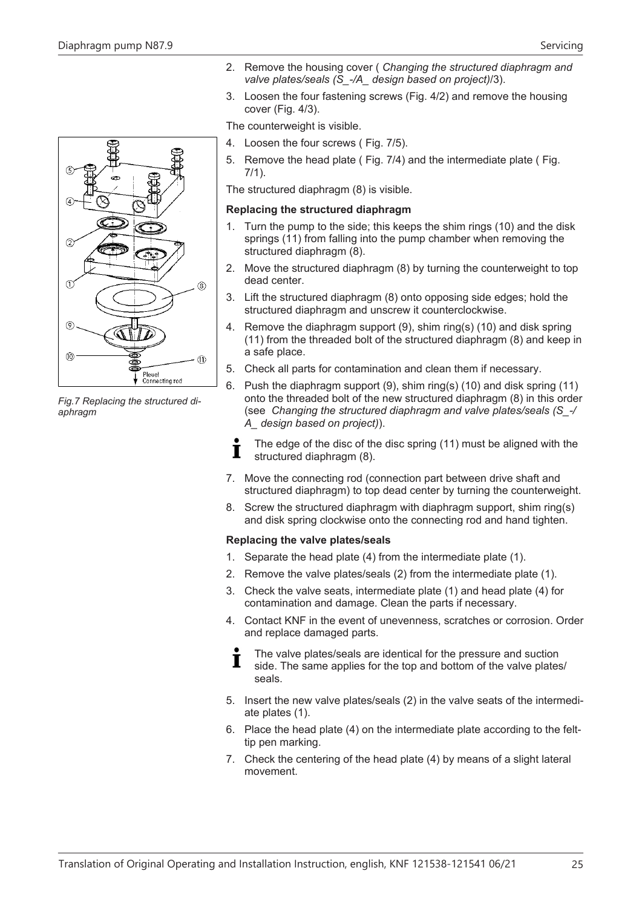

*Fig.7 Replacing the structured diaphragm*

- 2. Remove the housing cover ( *[Changing the structured diaphragm and](#page-23-0) [valve plates/seals \(S\\_-/A\\_ design based on project\)](#page-23-0)*/3).
- 3. Loosen the four fastening screws (Fig. 4/2) and remove the housing cover (Fig. 4/3).

The counterweight is visible.

- 4. Loosen the four screws ( Fig. 7/5).
- 5. Remove the head plate ( Fig. 7/4) and the intermediate plate ( Fig. 7/1).

The structured diaphragm (8) is visible.

#### **Replacing the structured diaphragm**

- 1. Turn the pump to the side; this keeps the shim rings (10) and the disk springs (11) from falling into the pump chamber when removing the structured diaphragm (8).
- 2. Move the structured diaphragm (8) by turning the counterweight to top dead center.
- 3. Lift the structured diaphragm (8) onto opposing side edges; hold the structured diaphragm and unscrew it counterclockwise.
- 4. Remove the diaphragm support (9), shim ring(s) (10) and disk spring (11) from the threaded bolt of the structured diaphragm (8) and keep in a safe place.
- 5. Check all parts for contamination and clean them if necessary.
- 6. Push the diaphragm support (9), shim ring(s) (10) and disk spring (11) onto the threaded bolt of the new structured diaphragm (8) in this order (see *[Changing the structured diaphragm and valve plates/seals \(S\\_-/](#page-24-0) [A\\_ design based on project\)](#page-24-0)*).
- <span id="page-24-0"></span>The edge of the disc of the disc spring (11) must be aligned with the П structured diaphragm (8).
- 7. Move the connecting rod (connection part between drive shaft and structured diaphragm) to top dead center by turning the counterweight.
- 8. Screw the structured diaphragm with diaphragm support, shim ring(s) and disk spring clockwise onto the connecting rod and hand tighten.

#### **Replacing the valve plates/seals**

- 1. Separate the head plate (4) from the intermediate plate (1).
- 2. Remove the valve plates/seals (2) from the intermediate plate (1).
- 3. Check the valve seats, intermediate plate (1) and head plate (4) for contamination and damage. Clean the parts if necessary.
- 4. Contact KNF in the event of unevenness, scratches or corrosion. Order and replace damaged parts.

The valve plates/seals are identical for the pressure and suction T side. The same applies for the top and bottom of the valve plates/ seals.

- 5. Insert the new valve plates/seals (2) in the valve seats of the intermediate plates (1).
- 6. Place the head plate (4) on the intermediate plate according to the felttip pen marking.
- 7. Check the centering of the head plate (4) by means of a slight lateral movement.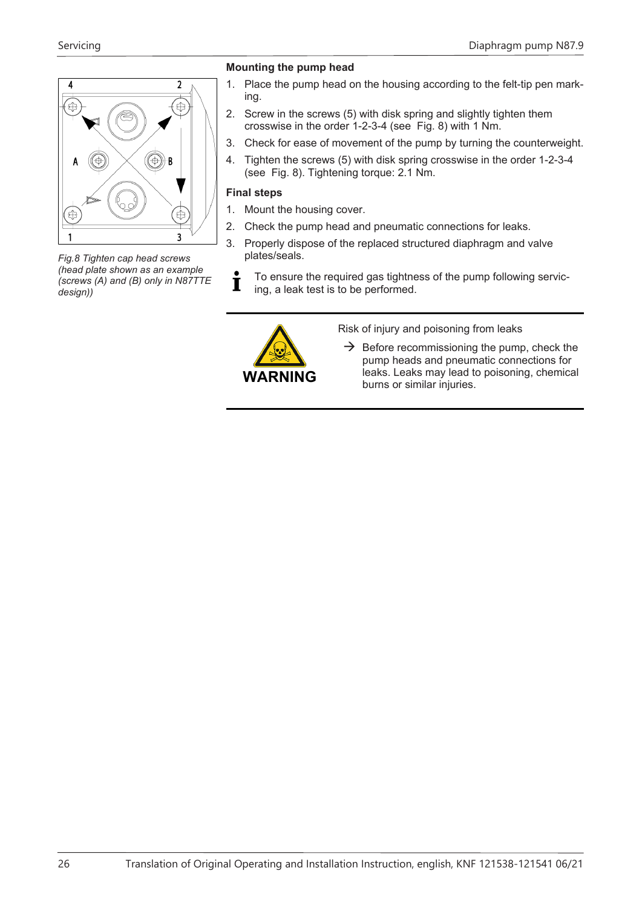

*Fig.8 Tighten cap head screws (head plate shown as an example (screws (A) and (B) only in N87TTE design))*

# **Mounting the pump head**

- 1. Place the pump head on the housing according to the felt-tip pen marking.
- 2. Screw in the screws (5) with disk spring and slightly tighten them crosswise in the order 1-2-3-4 (see Fig. 8) with 1 Nm.
- 3. Check for ease of movement of the pump by turning the counterweight.
- 4. Tighten the screws (5) with disk spring crosswise in the order 1-2-3-4 (see Fig. 8). Tightening torque: 2.1 Nm.

# **Final steps**

- 1. Mount the housing cover.
- 2. Check the pump head and pneumatic connections for leaks.
- 3. Properly dispose of the replaced structured diaphragm and valve plates/seals.
- To ensure the required gas tightness of the pump following servic-Т ing, a leak test is to be performed.



Risk of injury and poisoning from leaks

 $\rightarrow$  Before recommissioning the pump, check the pump heads and pneumatic connections for leaks. Leaks may lead to poisoning, chemical burns or similar injuries.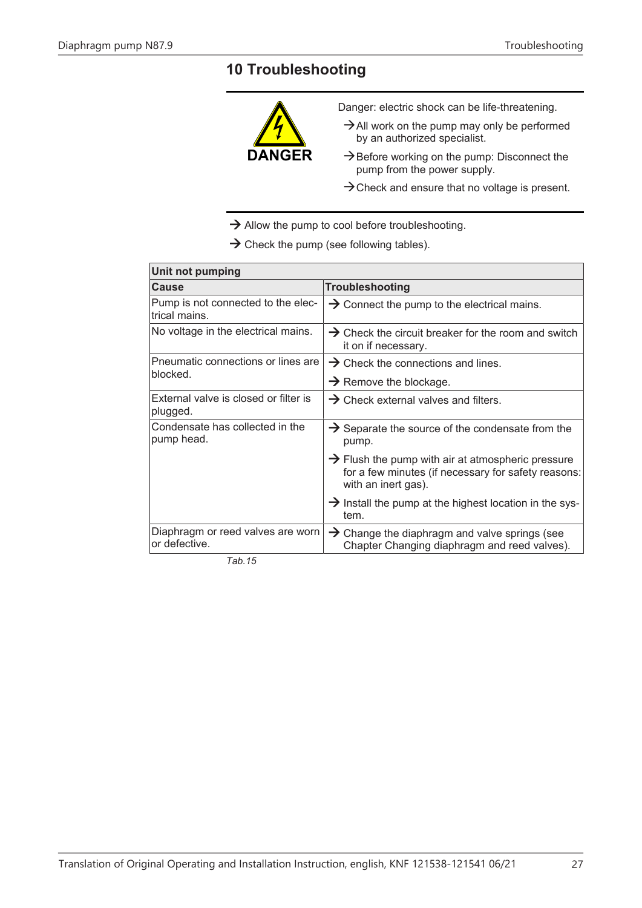# <span id="page-26-0"></span>**10 Troubleshooting**



- $\rightarrow$  Check and ensure that no voltage is present.
- $\rightarrow$  Allow the pump to cool before troubleshooting.

 $\rightarrow$  Check the pump (see following tables).

| Unit not pumping                                    |                                                                                                                                             |
|-----------------------------------------------------|---------------------------------------------------------------------------------------------------------------------------------------------|
| <b>Cause</b>                                        | Troubleshooting                                                                                                                             |
| Pump is not connected to the elec-<br>trical mains. | $\rightarrow$ Connect the pump to the electrical mains.                                                                                     |
| No voltage in the electrical mains.                 | $\rightarrow$ Check the circuit breaker for the room and switch<br>it on if necessary.                                                      |
| Pneumatic connections or lines are<br>blocked.      | $\rightarrow$ Check the connections and lines.                                                                                              |
|                                                     | $\rightarrow$ Remove the blockage.                                                                                                          |
| External valve is closed or filter is<br>plugged.   | $\rightarrow$ Check external valves and filters.                                                                                            |
| Condensate has collected in the<br>pump head.       | $\rightarrow$ Separate the source of the condensate from the<br>pump.                                                                       |
|                                                     | $\rightarrow$ Flush the pump with air at atmospheric pressure<br>for a few minutes (if necessary for safety reasons:<br>with an inert gas). |
|                                                     | $\rightarrow$ Install the pump at the highest location in the sys-<br>tem.                                                                  |
| Diaphragm or reed valves are worn<br>or defective.  | $\rightarrow$ Change the diaphragm and valve springs (see<br>Chapter Changing diaphragm and reed valves).                                   |

*Tab.15*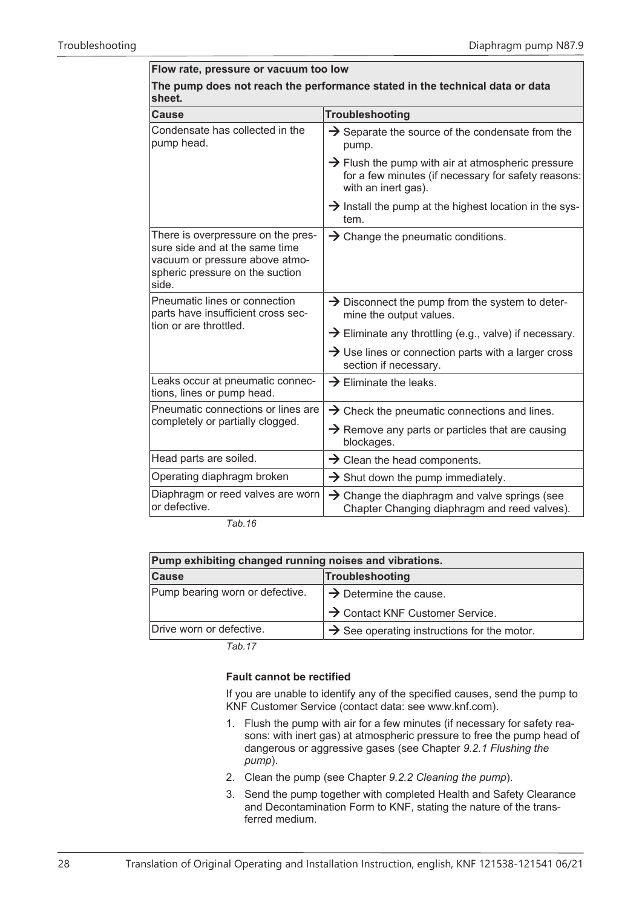| Flow rate, pressure or vacuum too low                                                                                                       |  |  |
|---------------------------------------------------------------------------------------------------------------------------------------------|--|--|
| The pump does not reach the performance stated in the technical data or data<br>sheet.                                                      |  |  |
| Troubleshooting                                                                                                                             |  |  |
| $\rightarrow$ Separate the source of the condensate from the<br>pump.                                                                       |  |  |
| $\rightarrow$ Flush the pump with air at atmospheric pressure<br>for a few minutes (if necessary for safety reasons:<br>with an inert gas). |  |  |
| $\rightarrow$ Install the pump at the highest location in the sys-<br>tem.                                                                  |  |  |
| $\rightarrow$ Change the pneumatic conditions.                                                                                              |  |  |
| $\rightarrow$ Disconnect the pump from the system to deter-<br>mine the output values.                                                      |  |  |
| $\rightarrow$ Eliminate any throttling (e.g., valve) if necessary.                                                                          |  |  |
| $\rightarrow$ Use lines or connection parts with a larger cross<br>section if necessary.                                                    |  |  |
| $\rightarrow$ Eliminate the leaks.                                                                                                          |  |  |
| $\rightarrow$ Check the pneumatic connections and lines.                                                                                    |  |  |
| $\rightarrow$ Remove any parts or particles that are causing<br>blockages.                                                                  |  |  |
| $\rightarrow$ Clean the head components.                                                                                                    |  |  |
| $\rightarrow$ Shut down the pump immediately.                                                                                               |  |  |
| $\rightarrow$ Change the diaphragm and valve springs (see<br>Chapter Changing diaphragm and reed valves).                                   |  |  |
|                                                                                                                                             |  |  |

*Tab.16* 

| Pump exhibiting changed running noises and vibrations. |                                                         |
|--------------------------------------------------------|---------------------------------------------------------|
| <b>Cause</b>                                           | Troubleshooting                                         |
| Pump bearing worn or defective.                        | $\rightarrow$ Determine the cause.                      |
|                                                        | $\rightarrow$ Contact KNF Customer Service.             |
| Drive worn or defective.                               | $\rightarrow$ See operating instructions for the motor. |

*Tab.17* 

#### **Fault cannot be rectified**

If you are unable to identify any of the specified causes, send the pump to KNF Customer Service (contact data: see www.knf.com).

- 1. Flush the pump with air for a few minutes (if necessary for safety reasons: with inert gas) at atmospheric pressure to free the pump head of dangerous or aggressive gases (see Chapter *[9.2.1 Flushing the](#page-19-1) [pump](#page-19-1)*).
- 2. Clean the pump (see Chapter *[9.2.2 Cleaning the pump](#page-20-0)*).
- 3. Send the pump together with completed Health and Safety Clearance and Decontamination Form to KNF, stating the nature of the transferred medium.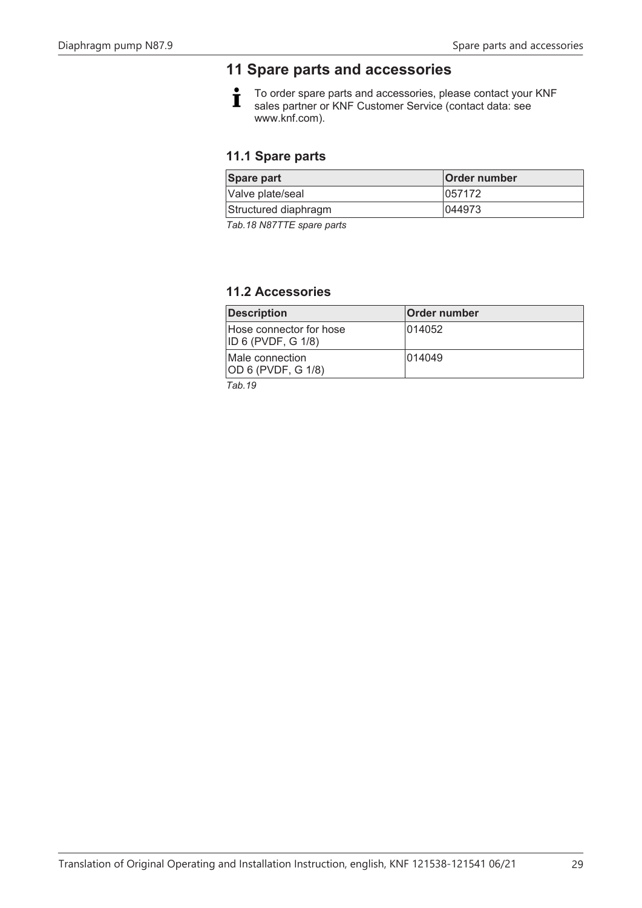# <span id="page-28-0"></span>**11 Spare parts and accessories**

 $\dot{\mathbf{I}}$ To order spare parts and accessories, please contact your KNF sales partner or KNF Customer Service (contact data: see www.knf.com).

# <span id="page-28-2"></span>**11.1 Spare parts**

| Spare part           | Order number |
|----------------------|--------------|
| Valve plate/seal     | 1057172      |
| Structured diaphragm | 1044973      |
| _ _ _ _ _            |              |

*Tab.18 N87TTE spare parts*

# <span id="page-28-1"></span>**11.2 Accessories**

| <b>Description</b>                             | <b>Order number</b> |
|------------------------------------------------|---------------------|
| Hose connector for hose<br> ID 6 (PVDF, G 1/8) | 014052              |
| Male connection<br>OD 6 (PVDF, G 1/8)          | 1014049             |
| $-1$                                           |                     |

*Tab.19*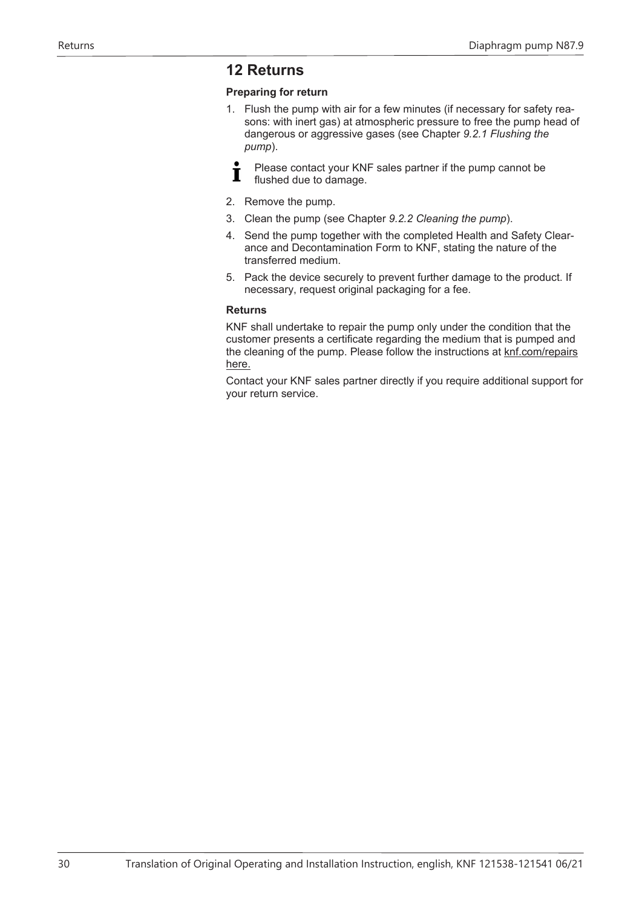# <span id="page-29-0"></span>**12 Returns**

# **Preparing for return**

- 1. Flush the pump with air for a few minutes (if necessary for safety reasons: with inert gas) at atmospheric pressure to free the pump head of dangerous or aggressive gases (see Chapter *[9.2.1 Flushing the](#page-19-1) [pump](#page-19-1)*).
- Please contact your KNF sales partner if the pump cannot be T flushed due to damage.
- 2. Remove the pump.
- 3. Clean the pump (see Chapter *9.2.2 Cleaning the pump*).
- 4. Send the pump together with the completed Health and Safety Clearance and Decontamination Form to KNF, stating the nature of the transferred medium.
- 5. Pack the device securely to prevent further damage to the product. If necessary, request original packaging for a fee.

#### **Returns**

KNF shall undertake to repair the pump only under the condition that the customer presents a certificate regarding the medium that is pumped and the cleaning of the pump. Please follow the instructions at knf.com/repairs here.

Contact your KNF sales partner directly if you require additional support for your return service.